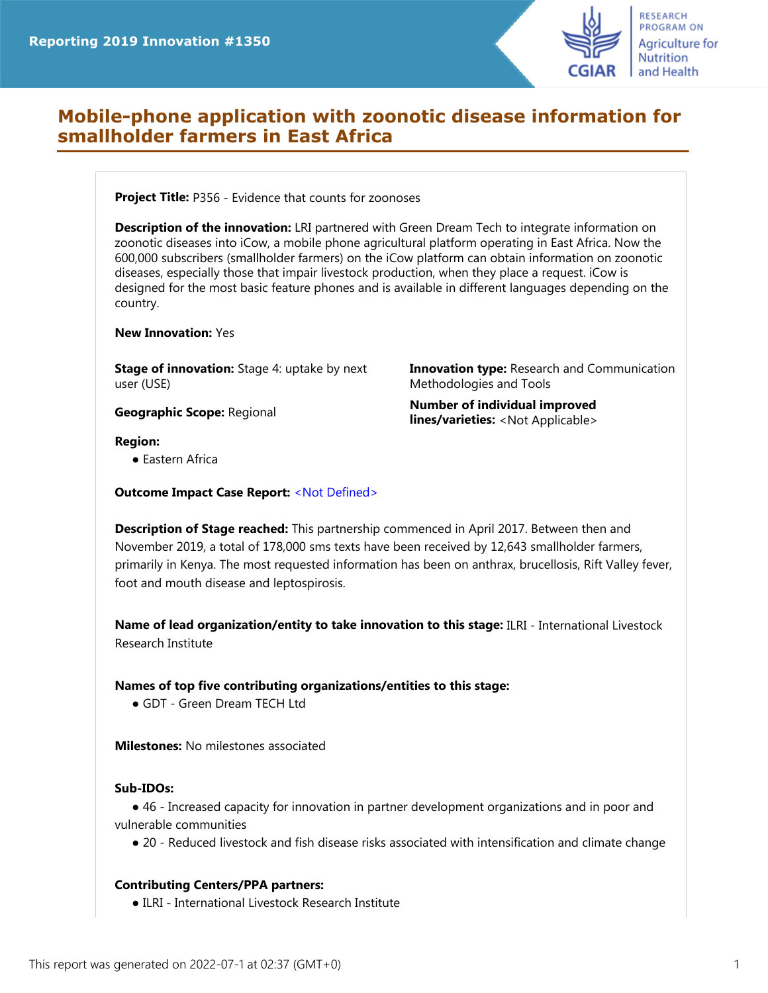

# **Mobile-phone application with zoonotic disease information for smallholder farmers in East Africa**

**Project Title:** P356 - Evidence that counts for zoonoses

**Description of the innovation:** LRI partnered with Green Dream Tech to integrate information on zoonotic diseases into iCow, a mobile phone agricultural platform operating in East Africa. Now the 600,000 subscribers (smallholder farmers) on the iCow platform can obtain information on zoonotic diseases, especially those that impair livestock production, when they place a request. iCow is designed for the most basic feature phones and is available in different languages depending on the country.

#### **New Innovation:** Yes

**Stage of innovation:** Stage 4: uptake by next user (USE)

**Innovation type:** Research and Communication Methodologies and Tools

**Geographic Scope:** Regional **Number of individual improved lines/varieties:** <Not Applicable>

## **Region:**

● Eastern Africa

**Outcome Impact Case Report:** <Not Defined>

**Description of Stage reached:** This partnership commenced in April 2017. Between then and November 2019, a total of 178,000 sms texts have been received by 12,643 smallholder farmers, primarily in Kenya. The most requested information has been on anthrax, brucellosis, Rift Valley fever, foot and mouth disease and leptospirosis.

**Name of lead organization/entity to take innovation to this stage:** ILRI - International Livestock Research Institute

## **Names of top five contributing organizations/entities to this stage:**

● GDT - Green Dream TECH Ltd

**Milestones:** No milestones associated

#### **Sub-IDOs:**

● 46 - Increased capacity for innovation in partner development organizations and in poor and vulnerable communities

● 20 - Reduced livestock and fish disease risks associated with intensification and climate change

## **Contributing Centers/PPA partners:**

● ILRI - International Livestock Research Institute